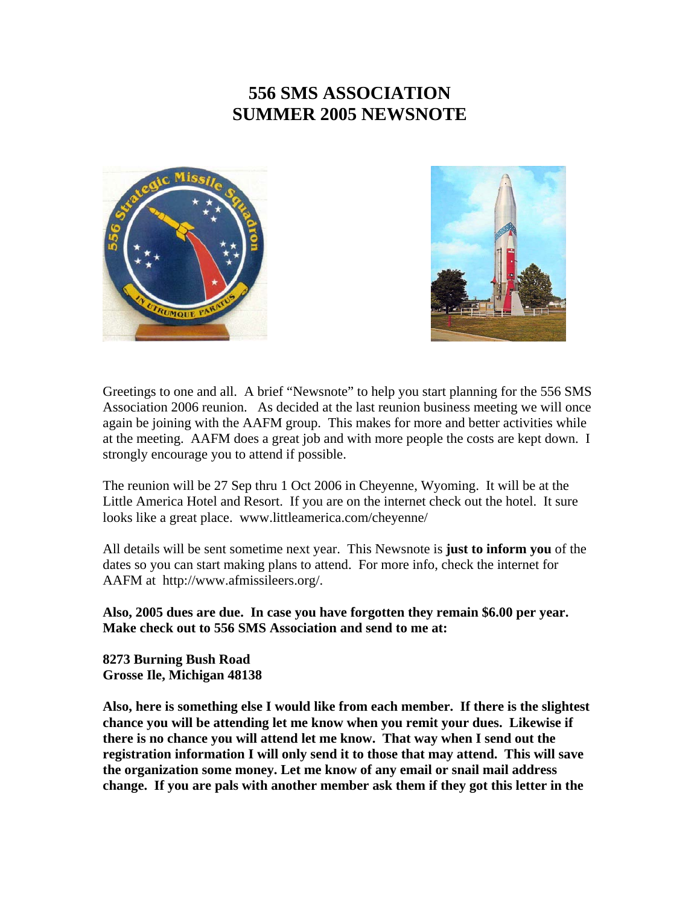## **556 SMS ASSOCIATION SUMMER 2005 NEWSNOTE**





Greetings to one and all. A brief "Newsnote" to help you start planning for the 556 SMS Association 2006 reunion. As decided at the last reunion business meeting we will once again be joining with the AAFM group. This makes for more and better activities while at the meeting. AAFM does a great job and with more people the costs are kept down. I strongly encourage you to attend if possible.

The reunion will be 27 Sep thru 1 Oct 2006 in Cheyenne, Wyoming. It will be at the Little America Hotel and Resort. If you are on the internet check out the hotel. It sure looks like a great place. www.littleamerica.com/cheyenne/

All details will be sent sometime next year. This Newsnote is **just to inform you** of the dates so you can start making plans to attend. For more info, check the internet for AAFM at http://www.afmissileers.org/.

**Also, 2005 dues are due. In case you have forgotten they remain \$6.00 per year. Make check out to 556 SMS Association and send to me at:** 

**8273 Burning Bush Road Grosse Ile, Michigan 48138** 

**Also, here is something else I would like from each member. If there is the slightest chance you will be attending let me know when you remit your dues. Likewise if there is no chance you will attend let me know. That way when I send out the registration information I will only send it to those that may attend. This will save the organization some money. Let me know of any email or snail mail address change. If you are pals with another member ask them if they got this letter in the**